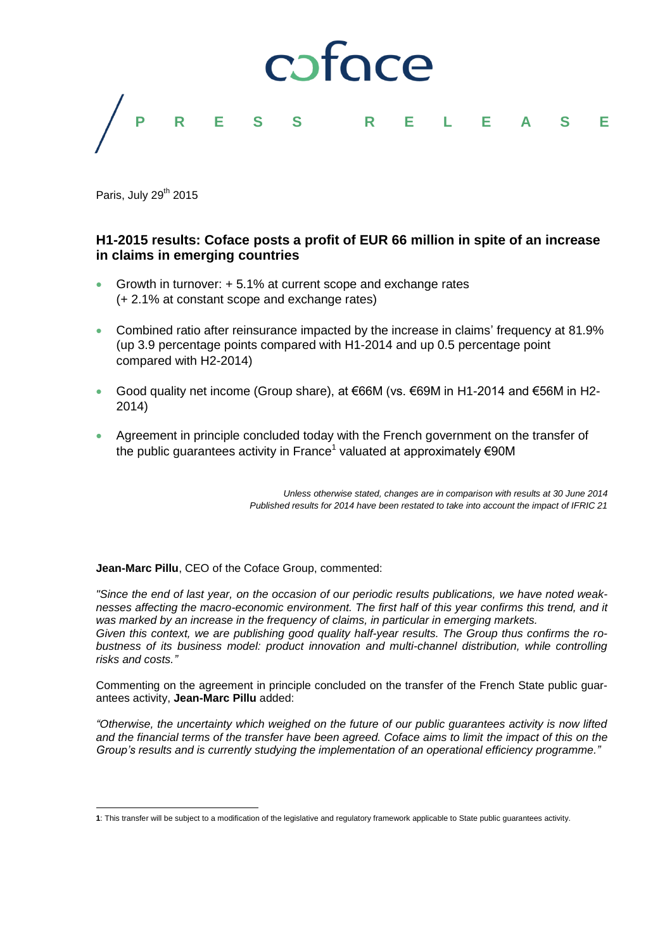

Paris, July 29<sup>th</sup> 2015

1

## **H1-2015 results: Coface posts a profit of EUR 66 million in spite of an increase in claims in emerging countries**

- Growth in turnover: + 5.1% at current scope and exchange rates (+ 2.1% at constant scope and exchange rates)
- Combined ratio after reinsurance impacted by the increase in claims' frequency at 81.9% (up 3.9 percentage points compared with H1-2014 and up 0.5 percentage point compared with H2-2014)
- Good quality net income (Group share), at €66M (vs. €69M in H1-2014 and €56M in H2- 2014)
- Agreement in principle concluded today with the French government on the transfer of the public guarantees activity in France<sup>1</sup> valuated at approximately €90M

*Unless otherwise stated, changes are in comparison with results at 30 June 2014 Published results for 2014 have been restated to take into account the impact of IFRIC 21*

**Jean-Marc Pillu**, CEO of the Coface Group, commented:

*"Since the end of last year, on the occasion of our periodic results publications, we have noted weaknesses affecting the macro-economic environment. The first half of this year confirms this trend, and it was marked by an increase in the frequency of claims, in particular in emerging markets. Given this context, we are publishing good quality half-year results. The Group thus confirms the robustness of its business model: product innovation and multi-channel distribution, while controlling risks and costs."*

Commenting on the agreement in principle concluded on the transfer of the French State public guarantees activity, **Jean-Marc Pillu** added:

*"Otherwise, the uncertainty which weighed on the future of our public guarantees activity is now lifted and the financial terms of the transfer have been agreed. Coface aims to limit the impact of this on the Group's results and is currently studying the implementation of an operational efficiency programme."*

**<sup>1</sup>**: This transfer will be subject to a modification of the legislative and regulatory framework applicable to State public guarantees activity.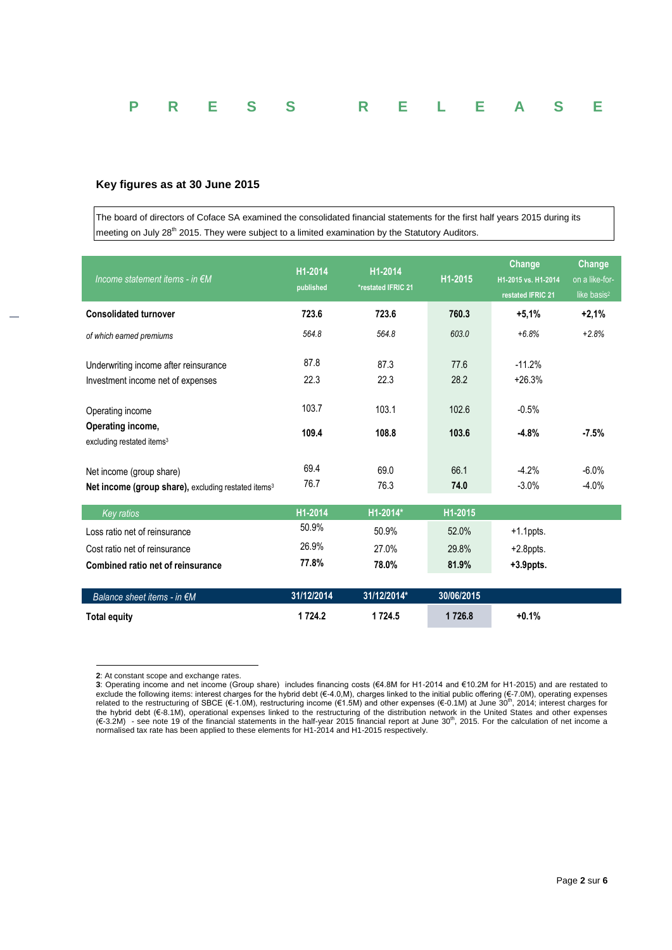|  |  | P R E S S R E L E A S E |  |  |  |
|--|--|-------------------------|--|--|--|
|  |  |                         |  |  |  |

## **Key figures as at 30 June 2015**

The board of directors of Coface SA examined the consolidated financial statements for the first half years 2015 during its meeting on July 28<sup>th</sup> 2015. They were subject to a limited examination by the Statutory Auditors.

| Income statement items - in $\notin M$                                                      | H1-2014<br>published | H1-2014<br>*restated IFRIC 21 | H1-2015      | Change<br>H1-2015 vs. H1-2014<br>restated IFRIC 21 | Change<br>on a like-for-<br>like basis <sup>2</sup> |  |
|---------------------------------------------------------------------------------------------|----------------------|-------------------------------|--------------|----------------------------------------------------|-----------------------------------------------------|--|
| <b>Consolidated turnover</b>                                                                | 723.6                | 723.6                         | 760.3        | $+5.1%$                                            | $+2.1%$                                             |  |
| of which earned premiums                                                                    | 564.8                | 564.8                         | 603.0        | $+6.8%$                                            | $+2.8%$                                             |  |
| Underwriting income after reinsurance                                                       | 87.8                 | 87.3                          | 77.6         | $-11.2%$                                           |                                                     |  |
| Investment income net of expenses                                                           | 22.3                 | 22.3                          | 28.2         | $+26.3%$                                           |                                                     |  |
| Operating income                                                                            | 103.7                | 103.1                         | 102.6        | $-0.5%$                                            |                                                     |  |
| Operating income,<br>excluding restated items <sup>3</sup>                                  | 109.4                | 108.8                         | 103.6        | $-4.8%$                                            | $-7.5%$                                             |  |
| Net income (group share)<br>Net income (group share), excluding restated items <sup>3</sup> | 69.4<br>76.7         | 69.0<br>76.3                  | 66.1<br>74.0 | $-4.2%$<br>$-3.0%$                                 | $-6.0%$<br>$-4.0%$                                  |  |
| <b>Key ratios</b>                                                                           | H1-2014              | H1-2014*                      | H1-2015      |                                                    |                                                     |  |
| Loss ratio net of reinsurance                                                               | 50.9%                | 50.9%                         | 52.0%        | $+1.1$ ppts.                                       |                                                     |  |
| Cost ratio net of reinsurance                                                               | 26.9%                | 27.0%                         | 29.8%        | $+2.8$ ppts.                                       |                                                     |  |
| Combined ratio net of reinsurance                                                           | 77.8%                | 78.0%                         | 81.9%        | $+3.9$ ppts.                                       |                                                     |  |
| Balance sheet items - in €M                                                                 | 31/12/2014           | 31/12/2014*                   | 30/06/2015   |                                                    |                                                     |  |
| <b>Total equity</b>                                                                         | 1724.2               | 1724.5                        | 1726.8       | $+0.1%$                                            |                                                     |  |

<sup>1</sup> **2**: At constant scope and exchange rates.

**<sup>3</sup>**: Operating income and net income (Group share) includes financing costs (€4.8M for H1-2014 and €10.2M for H1-2015) and are restated to exclude the following items: interest charges for the hybrid debt (€-4.0,M), charges linked to the initial public offering (€-7.0M), operating expenses<br>related to the restructuring of SBCE (€-1.0M), restructuring income ( the hybrid debt (€-8.1M), operational expenses linked to the restructuring of the distribution network in the United States and other expenses<br>(€-3.2M) - see note 19 of the financial statements in the half-year 2015 finan normalised tax rate has been applied to these elements for H1-2014 and H1-2015 respectively.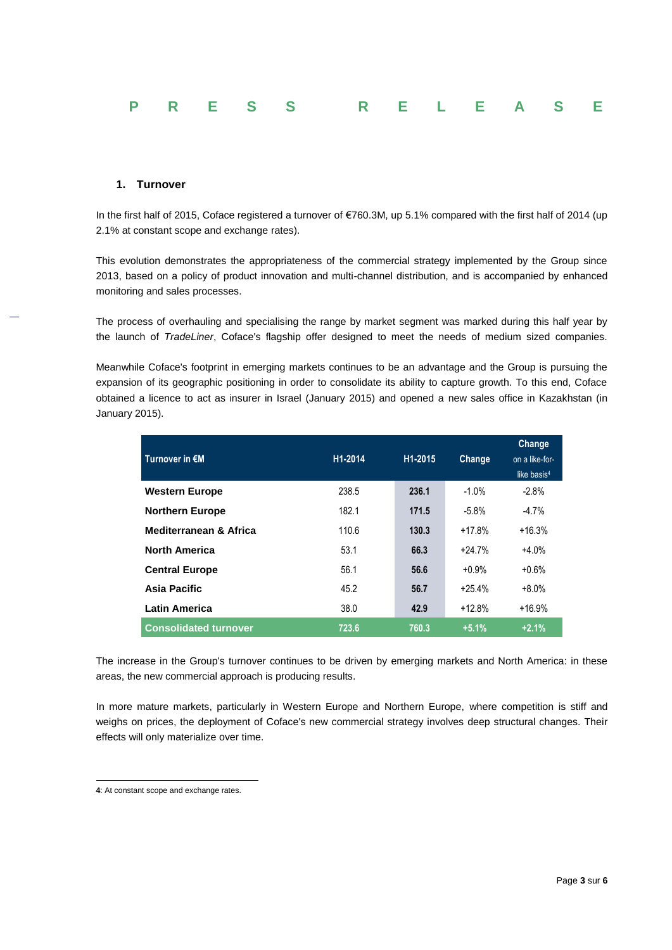

## **1. Turnover**

In the first half of 2015, Coface registered a turnover of €760.3M, up 5.1% compared with the first half of 2014 (up 2.1% at constant scope and exchange rates).

This evolution demonstrates the appropriateness of the commercial strategy implemented by the Group since 2013, based on a policy of product innovation and multi-channel distribution, and is accompanied by enhanced monitoring and sales processes.

The process of overhauling and specialising the range by market segment was marked during this half year by the launch of *TradeLiner*, Coface's flagship offer designed to meet the needs of medium sized companies.

Meanwhile Coface's footprint in emerging markets continues to be an advantage and the Group is pursuing the expansion of its geographic positioning in order to consolidate its ability to capture growth. To this end, Coface obtained a licence to act as insurer in Israel (January 2015) and opened a new sales office in Kazakhstan (in January 2015).

| Turnover in €M               | H1-2014 | H <sub>1</sub> -2015 | Change   | Change<br>on a like-for-<br>like basis <sup>4</sup> |
|------------------------------|---------|----------------------|----------|-----------------------------------------------------|
| <b>Western Europe</b>        | 238.5   | 236.1                | $-1.0%$  | $-2.8%$                                             |
| <b>Northern Europe</b>       | 182.1   | 171.5                | $-5.8\%$ | $-4.7%$                                             |
| Mediterranean & Africa       | 110.6   | 130.3                | $+17.8%$ | $+16.3%$                                            |
| <b>North America</b>         | 53.1    | 66.3                 | $+24.7%$ | $+4.0%$                                             |
| <b>Central Europe</b>        | 56.1    | 56.6                 | $+0.9%$  | $+0.6%$                                             |
| Asia Pacific                 | 45.2    | 56.7                 | $+25.4%$ | $+8.0%$                                             |
| <b>Latin America</b>         | 38.0    | 42.9                 | $+12.8%$ | $+16.9%$                                            |
| <b>Consolidated turnover</b> | 723.6   | 760.3                | $+5.1%$  | $+2.1%$                                             |

The increase in the Group's turnover continues to be driven by emerging markets and North America: in these areas, the new commercial approach is producing results.

In more mature markets, particularly in Western Europe and Northern Europe, where competition is stiff and weighs on prices, the deployment of Coface's new commercial strategy involves deep structural changes. Their effects will only materialize over time.

1

**<sup>4</sup>**: At constant scope and exchange rates.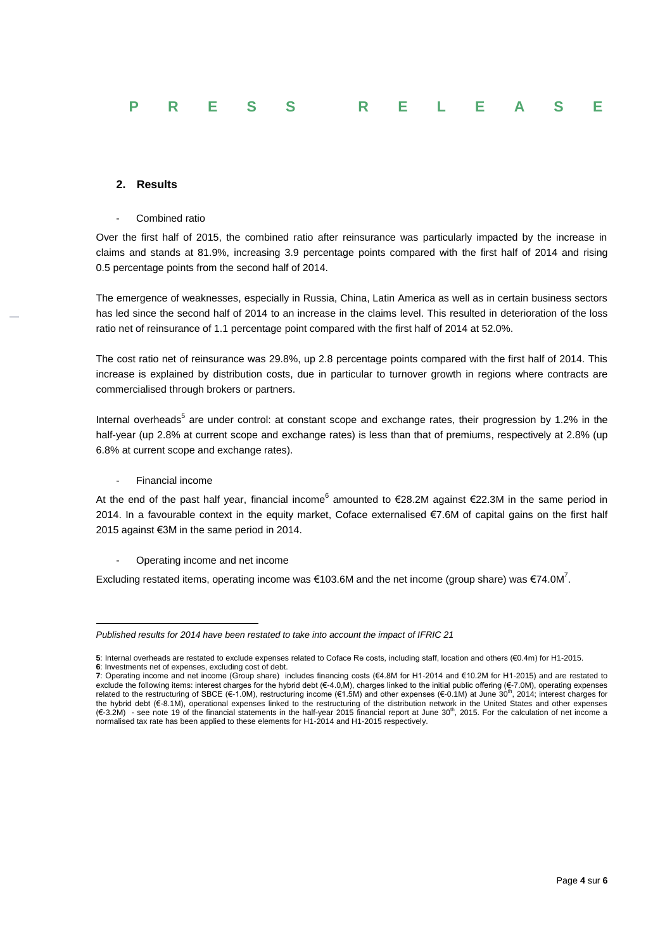# **PRESS RELEASE**

### **2. Results**

Combined ratio

Over the first half of 2015, the combined ratio after reinsurance was particularly impacted by the increase in claims and stands at 81.9%, increasing 3.9 percentage points compared with the first half of 2014 and rising 0.5 percentage points from the second half of 2014.

The emergence of weaknesses, especially in Russia, China, Latin America as well as in certain business sectors has led since the second half of 2014 to an increase in the claims level. This resulted in deterioration of the loss ratio net of reinsurance of 1.1 percentage point compared with the first half of 2014 at 52.0%.

The cost ratio net of reinsurance was 29.8%, up 2.8 percentage points compared with the first half of 2014. This increase is explained by distribution costs, due in particular to turnover growth in regions where contracts are commercialised through brokers or partners.

Internal overheads<sup>5</sup> are under control: at constant scope and exchange rates, their progression by 1.2% in the half-year (up 2.8% at current scope and exchange rates) is less than that of premiums, respectively at 2.8% (up 6.8% at current scope and exchange rates).

Financial income

At the end of the past half year, financial income<sup>6</sup> amounted to €28.2M against €22.3M in the same period in 2014. In a favourable context in the equity market, Coface externalised €7.6M of capital gains on the first half 2015 against €3M in the same period in 2014.

Operating income and net income

Excluding restated items, operating income was €103.6M and the net income (group share) was €74.0M<sup>7</sup>.

<sup>1</sup> *Published results for 2014 have been restated to take into account the impact of IFRIC 21*

**<sup>5</sup>**: Internal overheads are restated to exclude expenses related to Coface Re costs, including staff, location and others (€0.4m) for H1-2015. **6**: Investments net of expenses, excluding cost of debt.

**<sup>7</sup>**: Operating income and net income (Group share) includes financing costs (€4.8M for H1-2014 and €10.2M for H1-2015) and are restated to exclude the following items: interest charges for the hybrid debt  $(€-4.0, M)$ , charges linked to the initial public offering  $(€-7.0M)$ , operating expenses related to the restructuring of SBCE ( $\epsilon$ -1.0M), restructuring income ( $\epsilon$ 1.5M) and other expenses ( $\epsilon$ -0.1M) at June 30<sup>th</sup>, 2014; interest charges for the hybrid debt (€-8.1M), operational expenses linked to the restructuring of the distribution network in the United States and other expenses (€-3.2M) - see note 19 of the financial statements in the half-year 2015 financial report at June 30th, 2015. For the calculation of net income a normalised tax rate has been applied to these elements for H1-2014 and H1-2015 respectively.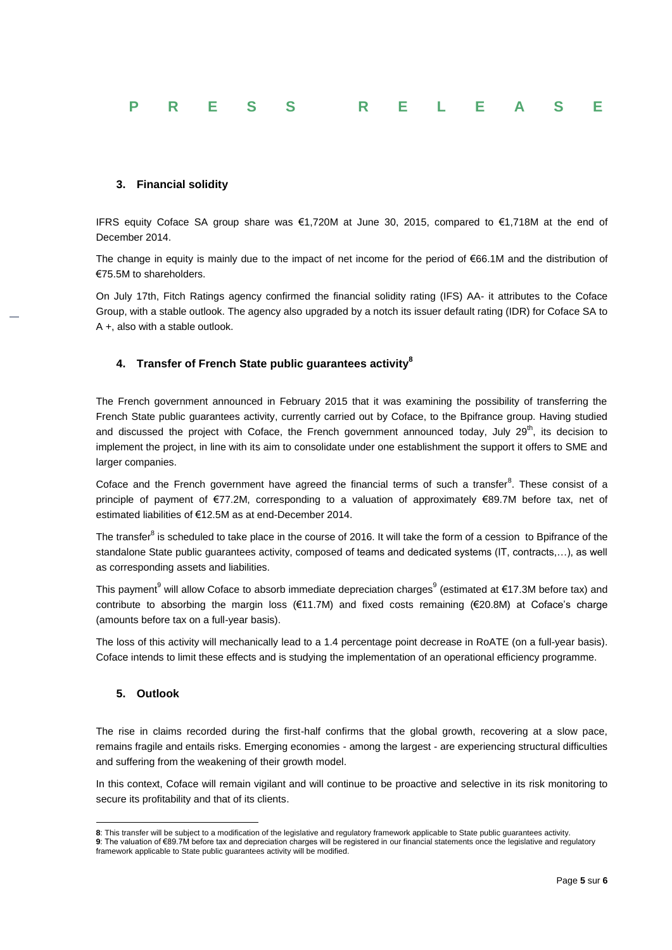|  |  | P R E S S R E L E A S E |  |  |  |
|--|--|-------------------------|--|--|--|
|  |  |                         |  |  |  |

## **3. Financial solidity**

IFRS equity Coface SA group share was €1,720M at June 30, 2015, compared to €1,718M at the end of December 2014.

The change in equity is mainly due to the impact of net income for the period of €66.1M and the distribution of €75.5M to shareholders.

On July 17th, Fitch Ratings agency confirmed the financial solidity rating (IFS) AA- it attributes to the Coface Group, with a stable outlook. The agency also upgraded by a notch its issuer default rating (IDR) for Coface SA to A +, also with a stable outlook.

## **4. Transfer of French State public guarantees activity<sup>8</sup>**

The French government announced in February 2015 that it was examining the possibility of transferring the French State public guarantees activity, currently carried out by Coface, to the Bpifrance group. Having studied and discussed the project with Coface, the French government announced today, July 29<sup>th</sup>, its decision to implement the project, in line with its aim to consolidate under one establishment the support it offers to SME and larger companies.

Coface and the French government have agreed the financial terms of such a transfer<sup>8</sup>. These consist of a principle of payment of €77.2M, corresponding to a valuation of approximately €89.7M before tax, net of estimated liabilities of €12.5M as at end-December 2014.

The transfer $^8$  is scheduled to take place in the course of 2016. It will take the form of a cession to Bpifrance of the standalone State public guarantees activity, composed of teams and dedicated systems (IT, contracts,…), as well as corresponding assets and liabilities.

This payment<sup>9</sup> will allow Coface to absorb immediate depreciation charges<sup>9</sup> (estimated at €17.3M before tax) and contribute to absorbing the margin loss (€11.7M) and fixed costs remaining (€20.8M) at Coface's charge (amounts before tax on a full-year basis).

The loss of this activity will mechanically lead to a 1.4 percentage point decrease in RoATE (on a full-year basis). Coface intends to limit these effects and is studying the implementation of an operational efficiency programme.

## **5. Outlook**

1

The rise in claims recorded during the first-half confirms that the global growth, recovering at a slow pace, remains fragile and entails risks. Emerging economies - among the largest - are experiencing structural difficulties and suffering from the weakening of their growth model.

In this context, Coface will remain vigilant and will continue to be proactive and selective in its risk monitoring to secure its profitability and that of its clients.

**<sup>8</sup>**: This transfer will be subject to a modification of the legislative and regulatory framework applicable to State public guarantees activity. **9**: The valuation of €89.7M before tax and depreciation charges will be registered in our financial statements once the legislative and regulatory framework applicable to State public guarantees activity will be modified.